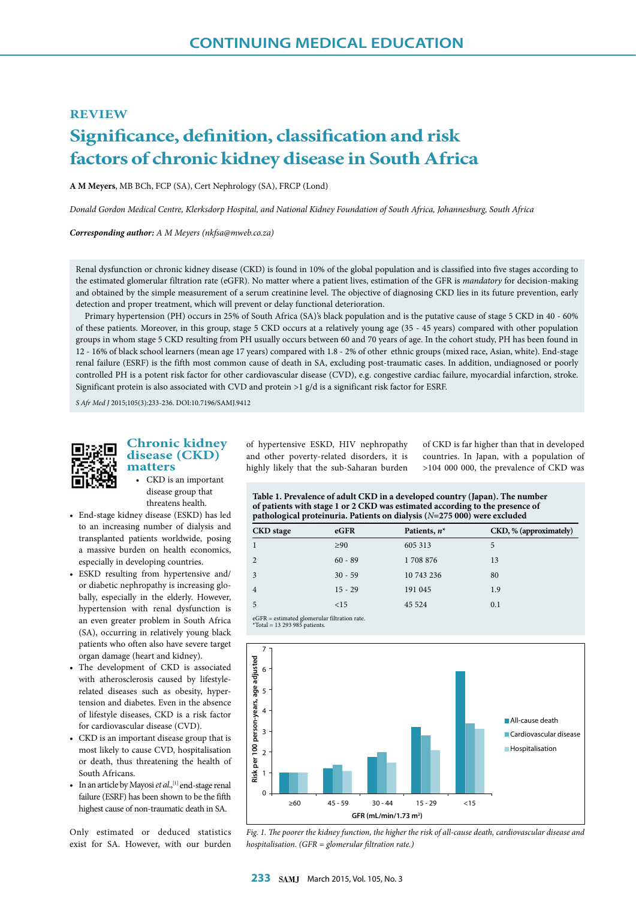### **REVIEW**

# **Significance, definition, classification and risk factors of chronic kidney disease in South Africa**

**A M Meyers**, MB BCh, FCP (SA), Cert Nephrology (SA), FRCP (Lond)

*Donald Gordon Medical Centre, Klerksdorp Hospital, and National Kidney Foundation of South Africa, Johannesburg, South Africa*

*Corresponding author: A M Meyers (nkfsa@mweb.co.za)*

Renal dysfunction or chronic kidney disease (CKD) is found in 10% of the global population and is classified into five stages according to the estimated glomerular filtration rate (eGFR). No matter where a patient lives, estimation of the GFR is *mandatory* for decision-making and obtained by the simple measurement of a serum creatinine level. The objective of diagnosing CKD lies in its future prevention, early detection and proper treatment, which will prevent or delay functional deterioration.

Primary hypertension (PH) occurs in 25% of South Africa (SA)'s black population and is the putative cause of stage 5 CKD in 40 - 60% of these patients. Moreover, in this group, stage 5 CKD occurs at a relatively young age (35 - 45 years) compared with other population groups in whom stage 5 CKD resulting from PH usually occurs between 60 and 70 years of age. In the cohort study, PH has been found in 12 - 16% of black school learners (mean age 17 years) compared with 1.8 - 2% of other ethnic groups (mixed race, Asian, white). End-stage renal failure (ESRF) is the fifth most common cause of death in SA, excluding post-traumatic cases. In addition, undiagnosed or poorly controlled PH is a potent risk factor for other cardiovascular disease (CVD), e.g. congestive cardiac failure, myocardial infarction, stroke. Significant protein is also associated with CVD and protein >1 g/d is a significant risk factor for ESRF.

*S Afr Med J* 2015;105(3):233-236. DOI:10.7196/SAMJ.9412



# **Chronic kidney disease (CKD) matters**

• CKD is an important disease group that threatens health.

- End-stage kidney disease (ESKD) has led to an increasing number of dialysis and transplanted patients worldwide, posing a massive burden on health economics, especially in developing countries.
- ESKD resulting from hypertensive and/ or diabetic nephropathy is increasing globally, especially in the elderly. However, hypertension with renal dysfunction is an even greater problem in South Africa (SA), occurring in relatively young black patients who often also have severe target organ damage (heart and kidney).
- The development of CKD is associated with atherosclerosis caused by lifestylerelated diseases such as obesity, hypertension and diabetes. Even in the absence of lifestyle diseases, CKD is a risk factor for cardiovascular disease (CVD).
- CKD is an important disease group that is most likely to cause CVD, hospitalisation or death, thus threatening the health of South Africans.
- In an article by Mayosi *et al.*,<sup>[1]</sup> end-stage renal failure (ESRF) has been shown to be the fifth highest cause of non-traumatic death in SA.

Only estimated or deduced statistics exist for SA. However, with our burden of hypertensive ESKD, HIV nephropathy and other poverty-related disorders, it is highly likely that the sub-Saharan burden

of CKD is far higher than that in developed countries. In Japan, with a population of >104 000 000, the prevalence of CKD was

| Table 1. Prevalence of adult CKD in a developed country (Japan). The number  |
|------------------------------------------------------------------------------|
| of patients with stage 1 or 2 CKD was estimated according to the presence of |
| pathological proteinuria. Patients on dialysis $(N=275000)$ were excluded    |

| <b>CKD</b> stage | eGFR      | Patients, $n^*$ | CKD, % (approximately) |
|------------------|-----------|-----------------|------------------------|
|                  | $\geq 90$ | 605 313         | 5                      |
|                  | $60 - 89$ | 1708 876        | 13                     |
| 3                | $30 - 59$ | 10 743 236      | 80                     |
| 4                | $15 - 29$ | 191 045         | 1.9                    |
|                  | <15       | 45 5 24         | 0.1                    |
|                  |           |                 |                        |

eGFR = estimated glomerular filtration rate. \*Total = 13 293 985 patients.



*Fig. 1. The poorer the kidney function, the higher the risk of all-cause death, cardiovascular disease and hospitalisation. (GFR = glomerular filtration rate.)*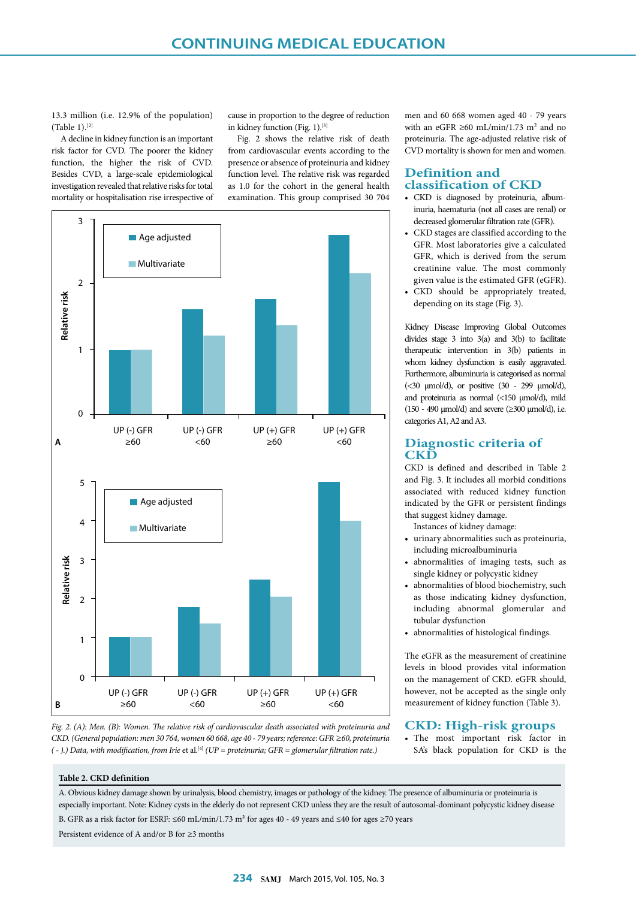13.3 million (i.e. 12.9% of the population) (Table 1).[2]

A decline in kidney function is an important risk factor for CVD. The poorer the kidney function, the higher the risk of CVD. Besides CVD, a large-scale epidemiological investigation revealed that relative risks for total mortality or hospitalisation rise irrespective of cause in proportion to the degree of reduction in kidney function (Fig. 1).[3]

Fig. 2 shows the relative risk of death from cardiovascular events according to the presence or absence of proteinuria and kidney function level. The relative risk was regarded as 1.0 for the cohort in the general health examination. This group comprised 30 704



*Fig. 2. (A): Men. (B): Women. The relative risk of cardiovascular death associated with proteinuria and CKD. (General population: men 30 764, women 60 668, age 40 - 79 years; reference: GFR ≥60, proteinuria ( - ).) Data, with modification, from Irie* et al.[4] *(UP = proteinuria; GFR = glomerular filtration rate.)*

men and 60 668 women aged 40 - 79 years with an eGFR  $\geq 60$  mL/min/1.73 m<sup>2</sup> and no proteinuria. The age-adjusted relative risk of CVD mortality is shown for men and women.

# **Definition and classification of CKD**

- CKD is diagnosed by proteinuria, albuminuria, haematuria (not all cases are renal) or decreased glomerular filtration rate (GFR).
- CKD stages are classified according to the GFR. Most laboratories give a calculated GFR, which is derived from the serum creatinine value. The most commonly given value is the estimated GFR (eGFR).
- CKD should be appropriately treated, depending on its stage (Fig. 3).

Kidney Disease Improving Global Outcomes divides stage 3 into 3(a) and 3(b) to facilitate therapeutic intervention in 3(b) patients in whom kidney dysfunction is easily aggravated. Furthermore, albuminuria is categorised as normal ( $<30$   $\mu$ mol/d), or positive ( $30 - 299$   $\mu$ mol/d), and proteinuria as normal (<150 µmol/d), mild (150 - 490  $\mu$ mol/d) and severe ( $\geq$ 300  $\mu$ mol/d), i.e. categories A1, A2 and A3.

## **Diagnostic criteria of CKD**

CKD is defined and described in Table 2 and Fig. 3. It includes all morbid conditions associated with reduced kidney function indicated by the GFR or persistent findings that suggest kidney damage.

Instances of kidney damage:

- urinary abnormalities such as proteinuria, including microalbuminuria
- abnormalities of imaging tests, such as single kidney or polycystic kidney
- abnormalities of blood biochemistry, such as those indicating kidney dysfunction, including abnormal glomerular and tubular dysfunction
- abnormalities of histological findings.

The eGFR as the measurement of creatinine levels in blood provides vital information on the management of CKD. eGFR should, however, not be accepted as the single only measurement of kidney function (Table 3).

## **CKD: High-risk groups**

• The most important risk factor in SA's black population for CKD is the

#### **Table 2. CKD definition**

A. Obvious kidney damage shown by urinalysis, blood chemistry, images or pathology of the kidney. The presence of albuminuria or proteinuria is especially important. Note: Kidney cysts in the elderly do not represent CKD unless they are the result of autosomal-dominant polycystic kidney disease B. GFR as a risk factor for ESRF: ≤60 mL/min/1.73 m² for ages 40 - 49 years and ≤40 for ages ≥70 years

Persistent evidence of A and/or B for ≥3 months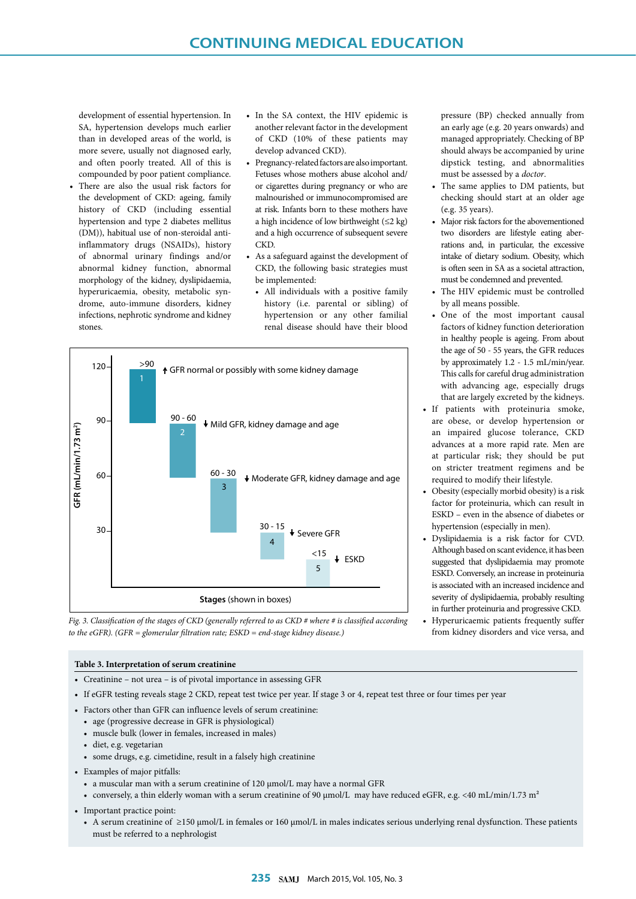development of essential hypertension. In SA, hypertension develops much earlier than in developed areas of the world, is more severe, usually not diagnosed early, and often poorly treated. All of this is compounded by poor patient compliance.

- There are also the usual risk factors for the development of CKD: ageing, family history of CKD (including essential hypertension and type 2 diabetes mellitus (DM)), habitual use of non-steroidal antiinflammatory drugs (NSAIDs), history of abnormal urinary findings and/or abnormal kidney function, abnormal morphology of the kidney, dyslipidaemia, hyperuricaemia, obesity, metabolic syndrome, auto-immune disorders, kidney infections, nephrotic syndrome and kidney stones.
- In the SA context, the HIV epidemic is another relevant factor in the development of CKD (10% of these patients may develop advanced CKD).
- Pregnancy-related factors are also important. Fetuses whose mothers abuse alcohol and/ or cigarettes during pregnancy or who are malnourished or immunocompromised are at risk. Infants born to these mothers have a high incidence of low birthweight (≤2 kg) and a high occurrence of subsequent severe CKD.
- As a safeguard against the development of CKD, the following basic strategies must be implemented:
- All individuals with a positive family history (i.e. parental or sibling) of hypertension or any other familial renal disease should have their blood





#### **Table 3. Interpretation of serum creatinine**

- Creatinine not urea is of pivotal importance in assessing GFR
- If eGFR testing reveals stage 2 CKD, repeat test twice per year. If stage 3 or 4, repeat test three or four times per year
- Factors other than GFR can influence levels of serum creatinine:
	- age (progressive decrease in GFR is physiological)
	- muscle bulk (lower in females, increased in males)
	- diet, e.g. vegetarian
	- some drugs, e.g. cimetidine, result in a falsely high creatinine
- Examples of major pitfalls:
	- a muscular man with a serum creatinine of 120 µmol/L may have a normal GFR
	- conversely, a thin elderly woman with a serum creatinine of 90 µmol/L may have reduced eGFR, e.g. <40 mL/min/1.73 m<sup>2</sup>
- Important practice point:
	- A serum creatinine of ≥150 µmol/L in females or 160 µmol/L in males indicates serious underlying renal dysfunction. These patients must be referred to a nephrologist

pressure (BP) checked annually from an early age (e.g. 20 years onwards) and managed appropriately. Checking of BP should always be accompanied by urine dipstick testing, and abnormalities must be assessed by a *doctor*.

- The same applies to DM patients, but checking should start at an older age (e.g. 35 years).
- Major risk factors for the abovementioned two disorders are lifestyle eating aberrations and, in particular, the excessive intake of dietary sodium. Obesity, which is often seen in SA as a societal attraction, must be condemned and prevented.
- The HIV epidemic must be controlled by all means possible.
- One of the most important causal factors of kidney function deterioration in healthy people is ageing. From about the age of 50 - 55 years, the GFR reduces by approximately 1.2 - 1.5 mL/min/year. This calls for careful drug administration with advancing age, especially drugs that are largely excreted by the kidneys.
- If patients with proteinuria smoke, are obese, or develop hypertension or an impaired glucose tolerance, CKD advances at a more rapid rate. Men are at particular risk; they should be put on stricter treatment regimens and be required to modify their lifestyle.
- Obesity (especially morbid obesity) is a risk factor for proteinuria, which can result in ESKD – even in the absence of diabetes or hypertension (especially in men).
- Dyslipidaemia is a risk factor for CVD. Although based on scant evidence, it has been suggested that dyslipidaemia may promote ESKD. Conversely, an increase in proteinuria is associated with an increased incidence and severity of dyslipidaemia, probably resulting in further proteinuria and progressive CKD.
- Hyperuricaemic patients frequently suffer from kidney disorders and vice versa, and